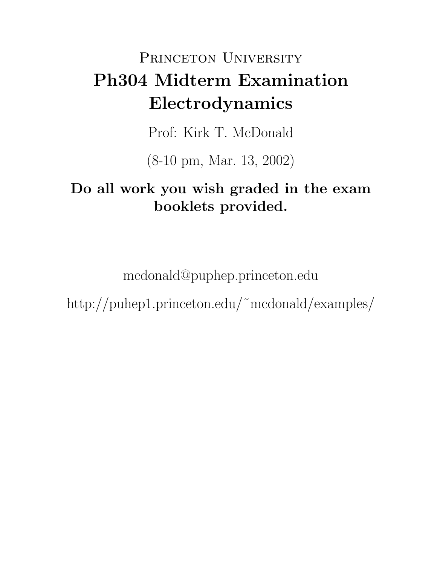# PRINCETON UNIVERSITY Ph304 Midterm Examination Electrodynamics

Prof: Kirk T. McDonald

(8-10 pm, Mar. 13, 2002)

## Do all work you wish graded in the exam booklets provided.

mcdonald@puphep.princeton.edu

http://puhep1.princeton.edu/˜mcdonald/examples/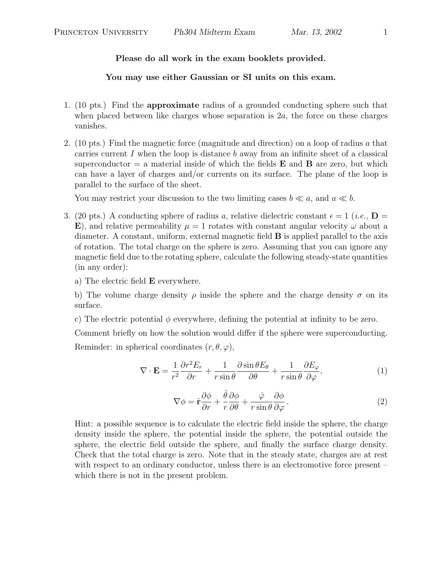Please do all work in the exam booklets provided.

You may use either Gaussian or SI units on this exam.

- 1. (10 pts.) Find the approximate radius of a grounded conducting sphere such that when placed between like charges whose separation is  $2a$ , the force on these charges vanishes.
- 2. (10 pts.) Find the magnetic force (magnitude and direction) on a loop of radius a that carries current I when the loop is distance b away from an infinite sheet of a classical superconductor  $=$  a material inside of which the fields **E** and **B** are zero, but which can have a layer of charges and/or currents on its surface. The plane of the loop is parallel to the surface of the sheet.

You may restrict your discussion to the two limiting cases  $b \ll a$ , and  $a \ll b$ .

3. (20 pts.) A conducting sphere of radius a, relative dielectric constant  $\epsilon = 1$  (*i.e.*,  $\mathbf{D} =$ E), and relative permeability  $\mu = 1$  rotates with constant angular velocity  $\omega$  about a diameter. A constant, uniform, external magnetic field  $\bf{B}$  is applied parallel to the axis of rotation. The total charge on the sphere is zero. Assuming that you can ignore any magnetic field due to the rotating sphere, calculate the following steady-state quantities (in any order):

a) The electric field E everywhere.

b) The volume charge density  $\rho$  inside the sphere and the charge density  $\sigma$  on its surface.

c) The electric potential  $\phi$  everywhere, defining the potential at infinity to be zero.

Comment briefly on how the solution would differ if the sphere were superconducting. Reminder: in spherical coordinates  $(r, \theta, \varphi)$ ,

$$
\nabla \cdot \mathbf{E} = \frac{1}{r^2} \frac{\partial r^2 E_r}{\partial r} + \frac{1}{r \sin \theta} \frac{\partial \sin \theta E_\theta}{\partial \theta} + \frac{1}{r \sin \theta} \frac{\partial E_\varphi}{\partial \varphi},\tag{1}
$$

$$
\nabla \phi = \hat{\mathbf{r}} \frac{\partial \phi}{\partial r} + \frac{\hat{\theta}}{r} \frac{\partial \phi}{\partial \theta} + \frac{\hat{\varphi}}{r \sin \theta} \frac{\partial \phi}{\partial \varphi}.
$$
 (2)

Hint: a possible sequence is to calculate the electric field inside the sphere, the charge density inside the sphere, the potential inside the sphere, the potential outside the sphere, the electric field outside the sphere, and finally the surface charge density. Check that the total charge is zero. Note that in the steady state, charges are at rest with respect to an ordinary conductor, unless there is an electromotive force present – which there is not in the present problem.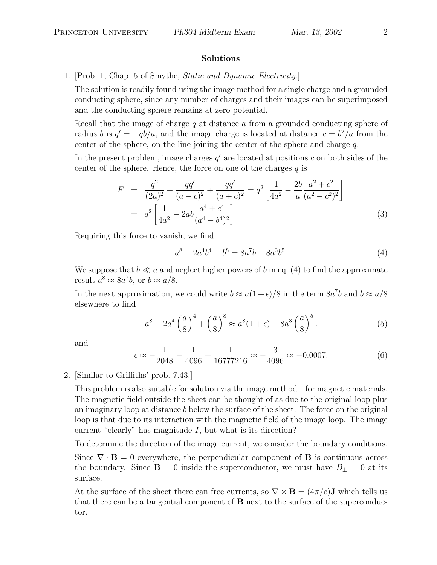#### Solutions

### 1. [Prob. 1, Chap. 5 of Smythe, Static and Dynamic Electricity.]

The solution is readily found using the image method for a single charge and a grounded conducting sphere, since any number of charges and their images can be superimposed and the conducting sphere remains at zero potential.

Recall that the image of charge  $q$  at distance  $q$  from a grounded conducting sphere of radius b is  $q' = -qb/a$ , and the image charge is located at distance  $c = b^2/a$  from the center of the sphere, on the line joining the center of the sphere and charge  $q$ .

In the present problem, image charges  $q'$  are located at positions c on both sides of the center of the sphere. Hence, the force on one of the charges  $q$  is

$$
F = \frac{q^2}{(2a)^2} + \frac{qq'}{(a-c)^2} + \frac{qq'}{(a+c)^2} = q^2 \left[ \frac{1}{4a^2} - \frac{2b}{a} \frac{a^2 + c^2}{(a^2 - c^2)^2} \right]
$$
  
=  $q^2 \left[ \frac{1}{4a^2} - 2ab \frac{a^4 + c^4}{(a^4 - b^4)^2} \right]$  (3)

Requiring this force to vanish, we find

$$
a^8 - 2a^4b^4 + b^8 = 8a^7b + 8a^3b^5.
$$
\n(4)

We suppose that  $b \ll a$  and neglect higher powers of b in eq. (4) to find the approximate result  $a^8 \approx 8a^7b$ , or  $b \approx a/8$ .

In the next approximation, we could write  $b \approx a(1+\epsilon)/8$  in the term  $8a^7b$  and  $b \approx a/8$ elsewhere to find

$$
a^{8} - 2a^{4} \left(\frac{a}{8}\right)^{4} + \left(\frac{a}{8}\right)^{8} \approx a^{8} (1 + \epsilon) + 8a^{3} \left(\frac{a}{8}\right)^{5}.
$$
 (5)

and

$$
\epsilon \approx -\frac{1}{2048} - \frac{1}{4096} + \frac{1}{16777216} \approx -\frac{3}{4096} \approx -0.0007. \tag{6}
$$

#### 2. [Similar to Griffiths' prob. 7.43.]

This problem is also suitable for solution via the image method – for magnetic materials. The magnetic field outside the sheet can be thought of as due to the original loop plus an imaginary loop at distance b below the surface of the sheet. The force on the original loop is that due to its interaction with the magnetic field of the image loop. The image current "clearly" has magnitude  $I$ , but what is its direction?

To determine the direction of the image current, we consider the boundary conditions.

Since  $\nabla \cdot \mathbf{B} = 0$  everywhere, the perpendicular component of **B** is continuous across the boundary. Since  $\mathbf{B} = 0$  inside the superconductor, we must have  $B_{\perp} = 0$  at its surface.

At the surface of the sheet there can free currents, so  $\nabla \times \mathbf{B} = (4\pi/c)\mathbf{J}$  which tells us that there can be a tangential component of  $\bf{B}$  next to the surface of the superconductor.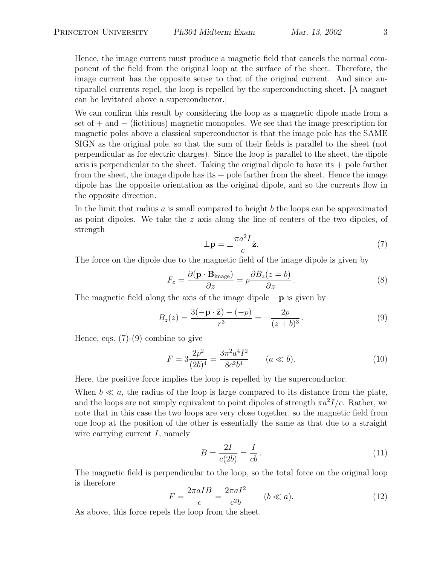Hence, the image current must produce a magnetic field that cancels the normal component of the field from the original loop at the surface of the sheet. Therefore, the image current has the opposite sense to that of the original current. And since antiparallel currents repel, the loop is repelled by the superconducting sheet. [A magnet can be levitated above a superconductor.]

We can confirm this result by considering the loop as a magnetic dipole made from a set of + and − (fictitious) magnetic monopoles. We see that the image prescription for magnetic poles above a classical superconductor is that the image pole has the SAME SIGN as the original pole, so that the sum of their fields is parallel to the sheet (not perpendicular as for electric charges). Since the loop is parallel to the sheet, the dipole axis is perpendicular to the sheet. Taking the original dipole to have its  $+$  pole farther from the sheet, the image dipole has its  $+$  pole farther from the sheet. Hence the image dipole has the opposite orientation as the original dipole, and so the currents flow in the opposite direction.

In the limit that radius  $a$  is small compared to height  $b$  the loops can be approximated as point dipoles. We take the z axis along the line of centers of the two dipoles, of strength

$$
\pm \mathbf{p} = \pm \frac{\pi a^2 I}{c} \hat{\mathbf{z}}.\tag{7}
$$

The force on the dipole due to the magnetic field of the image dipole is given by

$$
F_z = \frac{\partial (\mathbf{p} \cdot \mathbf{B}_{\text{image}})}{\partial z} = p \frac{\partial B_z(z = b)}{\partial z}.
$$
 (8)

The magnetic field along the axis of the image dipole  $-p$  is given by

$$
B_z(z) = \frac{3(-\mathbf{p} \cdot \hat{\mathbf{z}}) - (-p)}{r^3} = -\frac{2p}{(z+b)^3}.
$$
 (9)

Hence, eqs.  $(7)-(9)$  combine to give

$$
F = 3\frac{2p^2}{(2b)^4} = \frac{3\pi^2 a^4 I^2}{8c^2 b^4} \qquad (a \ll b).
$$
 (10)

Here, the positive force implies the loop is repelled by the superconductor.

When  $b \ll a$ , the radius of the loop is large compared to its distance from the plate, and the loops are not simply equivalent to point dipoles of strength  $\pi a^2 I/c$ . Rather, we note that in this case the two loops are very close together, so the magnetic field from one loop at the position of the other is essentially the same as that due to a straight wire carrying current  $I$ , namely

$$
B = \frac{2I}{c(2b)} = \frac{I}{cb}.
$$
\n
$$
(11)
$$

The magnetic field is perpendicular to the loop, so the total force on the original loop is therefore

$$
F = \frac{2\pi aIB}{c} = \frac{2\pi aI^2}{c^2b} \qquad (b \ll a). \tag{12}
$$

As above, this force repels the loop from the sheet.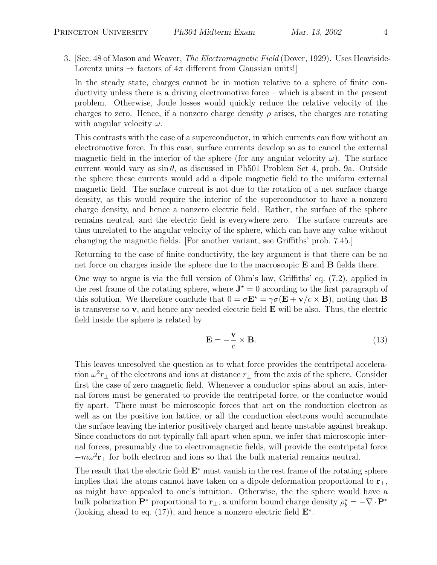3. [Sec. 48 of Mason and Weaver, *The Electromagnetic Field* (Dover, 1929). Uses Heaviside-Lorentz units  $\Rightarrow$  factors of  $4\pi$  different from Gaussian units!

In the steady state, charges cannot be in motion relative to a sphere of finite conductivity unless there is a driving electromotive force – which is absent in the present problem. Otherwise, Joule losses would quickly reduce the relative velocity of the charges to zero. Hence, if a nonzero charge density  $\rho$  arises, the charges are rotating with angular velocity  $\omega$ .

This contrasts with the case of a superconductor, in which currents can flow without an electromotive force. In this case, surface currents develop so as to cancel the external magnetic field in the interior of the sphere (for any angular velocity  $\omega$ ). The surface current would vary as  $\sin \theta$ , as discussed in Ph501 Problem Set 4, prob. 9a. Outside the sphere these currents would add a dipole magnetic field to the uniform external magnetic field. The surface current is not due to the rotation of a net surface charge density, as this would require the interior of the superconductor to have a nonzero charge density, and hence a nonzero electric field. Rather, the surface of the sphere remains neutral, and the electric field is everywhere zero. The surface currents are thus unrelated to the angular velocity of the sphere, which can have any value without changing the magnetic fields. [For another variant, see Griffiths' prob. 7.45.]

Returning to the case of finite conductivity, the key argument is that there can be no net force on charges inside the sphere due to the macroscopic E and B fields there.

One way to argue is via the full version of Ohm's law, Griffiths' eq. (7.2), applied in the rest frame of the rotating sphere, where  $J^* = 0$  according to the first paragraph of this solution. We therefore conclude that  $0 = \sigma \mathbf{E}^* = \gamma \sigma(\mathbf{E} + \mathbf{v}/c \times \mathbf{B})$ , noting that **B** is transverse to  $v$ , and hence any needed electric field  $E$  will be also. Thus, the electric field inside the sphere is related by

$$
\mathbf{E} = -\frac{\mathbf{v}}{c} \times \mathbf{B}.\tag{13}
$$

This leaves unresolved the question as to what force provides the centripetal acceleration  $\omega^2 r_{\perp}$  of the electrons and ions at distance  $r_{\perp}$  from the axis of the sphere. Consider first the case of zero magnetic field. Whenever a conductor spins about an axis, internal forces must be generated to provide the centripetal force, or the conductor would fly apart. There must be microscopic forces that act on the conduction electron as well as on the positive ion lattice, or all the conduction electrons would accumulate the surface leaving the interior positively charged and hence unstable against breakup. Since conductors do not typically fall apart when spun, we infer that microscopic internal forces, presumably due to electromagnetic fields, will provide the centripetal force  $-m\omega^2$ **r**<sub>⊥</sub> for both electron and ions so that the bulk material remains neutral.

The result that the electric field  $E^*$  must vanish in the rest frame of the rotating sphere implies that the atoms cannot have taken on a dipole deformation proportional to  $\mathbf{r}_\perp$ , as might have appealed to one's intuition. Otherwise, the the sphere would have a bulk polarization  $\mathbf{P}^*$  proportional to  $\mathbf{r}_\perp$ , a uniform bound charge density  $\rho_b^* = -\nabla \cdot \mathbf{P}^*$ (looking ahead to eq. (17)), and hence a nonzero electric field  $\mathbf{E}^*$ .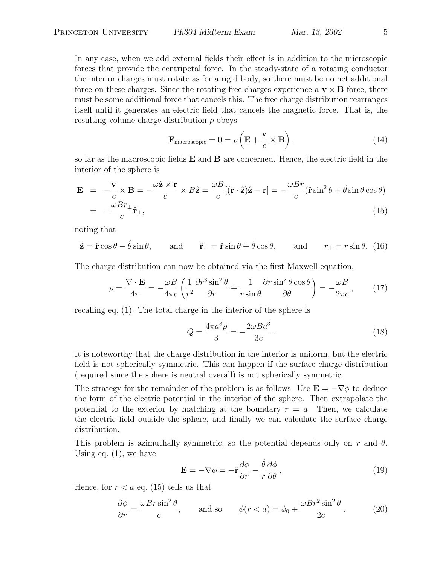In any case, when we add external fields their effect is in addition to the microscopic forces that provide the centripetal force. In the steady-state of a rotating conductor the interior charges must rotate as for a rigid body, so there must be no net additional force on these charges. Since the rotating free charges experience a  $\mathbf{v} \times \mathbf{B}$  force, there must be some additional force that cancels this. The free charge distribution rearranges itself until it generates an electric field that cancels the magnetic force. That is, the resulting volume charge distribution  $\rho$  obeys

$$
\mathbf{F}_{\text{macroscopic}} = 0 = \rho \left( \mathbf{E} + \frac{\mathbf{v}}{c} \times \mathbf{B} \right),\tag{14}
$$

so far as the macroscopic fields  $E$  and  $B$  are concerned. Hence, the electric field in the interior of the sphere is

$$
\mathbf{E} = -\frac{\mathbf{v}}{c} \times \mathbf{B} = -\frac{\omega \hat{\mathbf{z}} \times \mathbf{r}}{c} \times B\hat{\mathbf{z}} = \frac{\omega B}{c} [(\mathbf{r} \cdot \hat{\mathbf{z}})\hat{\mathbf{z}} - \mathbf{r}] = -\frac{\omega Br}{c} (\hat{\mathbf{r}} \sin^2 \theta + \hat{\theta} \sin \theta \cos \theta)
$$
  
= 
$$
-\frac{\omega Br_{\perp}}{c} \hat{\mathbf{r}}_{\perp},
$$
(15)

noting that

$$
\hat{\mathbf{z}} = \hat{\mathbf{r}} \cos \theta - \hat{\theta} \sin \theta
$$
, and  $\hat{\mathbf{r}}_{\perp} = \hat{\mathbf{r}} \sin \theta + \hat{\theta} \cos \theta$ , and  $r_{\perp} = r \sin \theta$ . (16)

The charge distribution can now be obtained via the first Maxwell equation,

$$
\rho = \frac{\nabla \cdot \mathbf{E}}{4\pi} = -\frac{\omega B}{4\pi c} \left( \frac{1}{r^2} \frac{\partial r^3 \sin^2 \theta}{\partial r} + \frac{1}{r \sin \theta} \frac{\partial r \sin^2 \theta \cos \theta}{\partial \theta} \right) = -\frac{\omega B}{2\pi c},\qquad(17)
$$

recalling eq. (1). The total charge in the interior of the sphere is

$$
Q = \frac{4\pi a^3 \rho}{3} = -\frac{2\omega B a^3}{3c} \,. \tag{18}
$$

It is noteworthy that the charge distribution in the interior is uniform, but the electric field is not spherically symmetric. This can happen if the surface charge distribution (required since the sphere is neutral overall) is not spherically symmetric.

The strategy for the remainder of the problem is as follows. Use  $\mathbf{E} = -\nabla \phi$  to deduce the form of the electric potential in the interior of the sphere. Then extrapolate the potential to the exterior by matching at the boundary  $r = a$ . Then, we calculate the electric field outside the sphere, and finally we can calculate the surface charge distribution.

This problem is azimuthally symmetric, so the potential depends only on r and  $\theta$ . Using eq. (1), we have

$$
\mathbf{E} = -\nabla\phi = -\hat{\mathbf{r}}\frac{\partial\phi}{\partial r} - \frac{\hat{\theta}}{r}\frac{\partial\phi}{\partial \theta},\qquad(19)
$$

Hence, for  $r < a$  eq. (15) tells us that

$$
\frac{\partial \phi}{\partial r} = \frac{\omega Br \sin^2 \theta}{c}, \quad \text{and so} \quad \phi(r < a) = \phi_0 + \frac{\omega Br^2 \sin^2 \theta}{2c}.
$$
 (20)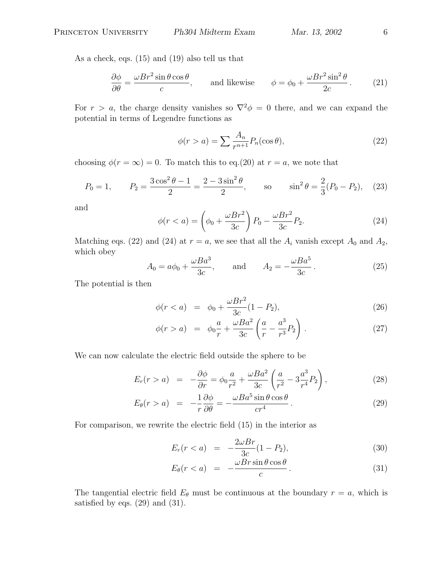As a check, eqs. (15) and (19) also tell us that

$$
\frac{\partial \phi}{\partial \theta} = \frac{\omega Br^2 \sin \theta \cos \theta}{c}, \quad \text{and likewise} \quad \phi = \phi_0 + \frac{\omega Br^2 \sin^2 \theta}{2c}. \quad (21)
$$

For  $r > a$ , the charge density vanishes so  $\nabla^2 \phi = 0$  there, and we can expand the potential in terms of Legendre functions as

$$
\phi(r > a) = \sum \frac{A_n}{r^{n+1}} P_n(\cos \theta),\tag{22}
$$

choosing  $\phi(r = \infty) = 0$ . To match this to eq.(20) at  $r = a$ , we note that

$$
P_0 = 1,
$$
  $P_2 = \frac{3\cos^2\theta - 1}{2} = \frac{2 - 3\sin^2\theta}{2},$  so  $\sin^2\theta = \frac{2}{3}(P_0 - P_2),$  (23)

and

$$
\phi(r < a) = \left(\phi_0 + \frac{\omega Br^2}{3c}\right) P_0 - \frac{\omega Br^2}{3c} P_2. \tag{24}
$$

Matching eqs. (22) and (24) at  $r = a$ , we see that all the  $A_i$  vanish except  $A_0$  and  $A_2$ , which obey

$$
A_0 = a\phi_0 + \frac{\omega Ba^3}{3c}, \quad \text{and} \quad A_2 = -\frac{\omega Ba^5}{3c}.
$$
 (25)

The potential is then

$$
\phi(r < a) = \phi_0 + \frac{\omega Br^2}{3c} (1 - P_2),\tag{26}
$$

$$
\phi(r > a) = \phi_0 \frac{a}{r} + \frac{\omega Ba^2}{3c} \left( \frac{a}{r} - \frac{a^3}{r^3} P_2 \right).
$$
 (27)

We can now calculate the electric field outside the sphere to be

$$
E_r(r > a) = -\frac{\partial \phi}{\partial r} = \phi_0 \frac{a}{r^2} + \frac{\omega B a^2}{3c} \left( \frac{a}{r^2} - 3 \frac{a^3}{r^4} P_2 \right),
$$
 (28)

$$
E_{\theta}(r > a) = -\frac{1}{r}\frac{\partial \phi}{\partial \theta} = -\frac{\omega Ba^5 \sin \theta \cos \theta}{cr^4}.
$$
 (29)

For comparison, we rewrite the electric field (15) in the interior as

$$
E_r(r < a) = -\frac{2\omega Br}{3c}(1 - P_2),\tag{30}
$$

$$
E_{\theta}(r < a) = -\frac{\omega Br \sin \theta \cos \theta}{c} \,. \tag{31}
$$

The tangential electric field  $E_{\theta}$  must be continuous at the boundary  $r = a$ , which is satisfied by eqs.  $(29)$  and  $(31)$ .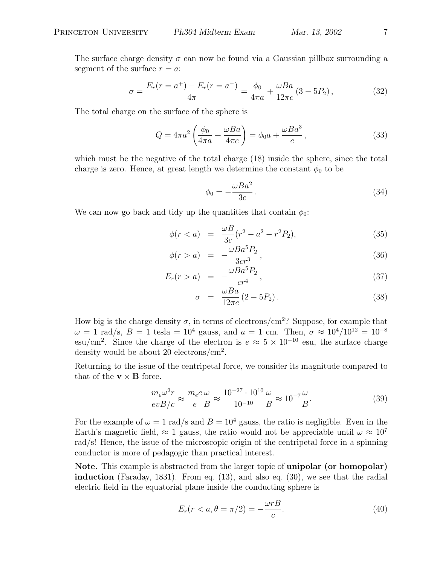$$
\sigma = \frac{E_r(r = a^+) - E_r(r = a^-)}{4\pi} = \frac{\phi_0}{4\pi a} + \frac{\omega Ba}{12\pi c} (3 - 5P_2),\tag{32}
$$

The total charge on the surface of the sphere is

$$
Q = 4\pi a^2 \left(\frac{\phi_0}{4\pi a} + \frac{\omega Ba}{4\pi c}\right) = \phi_0 a + \frac{\omega Ba^3}{c},\qquad(33)
$$

which must be the negative of the total charge (18) inside the sphere, since the total charge is zero. Hence, at great length we determine the constant  $\phi_0$  to be

$$
\phi_0 = -\frac{\omega Ba^2}{3c} \,. \tag{34}
$$

We can now go back and tidy up the quantities that contain  $\phi_0$ :

$$
\phi(r < a) = \frac{\omega B}{3c}(r^2 - a^2 - r^2 P_2),\tag{35}
$$

$$
\phi(r > a) = -\frac{\omega Ba^5 P_2}{3cr^3},\tag{36}
$$

$$
E_r(r > a) = -\frac{\omega Ba^5 P_2}{cr^4}, \qquad (37)
$$

$$
\sigma = \frac{\omega Ba}{12\pi c} (2 - 5P_2). \tag{38}
$$

How big is the charge density  $\sigma$ , in terms of electrons/cm<sup>2</sup>? Suppose, for example that  $\omega = 1$  rad/s,  $B = 1$  tesla =  $10^4$  gauss, and  $a = 1$  cm. Then,  $\sigma \approx 10^4/10^{12} = 10^{-8}$ esu/cm<sup>2</sup>. Since the charge of the electron is  $e \approx 5 \times 10^{-10}$  esu, the surface charge density would be about 20 electrons/ $\text{cm}^2$ .

Returning to the issue of the centripetal force, we consider its magnitude compared to that of the  $\mathbf{v} \times \mathbf{B}$  force.

$$
\frac{m_e \omega^2 r}{evB/c} \approx \frac{m_e c}{e} \frac{\omega}{B} \approx \frac{10^{-27} \cdot 10^{10}}{10^{-10}} \frac{\omega}{B} \approx 10^{-7} \frac{\omega}{B}.
$$
\n(39)

For the example of  $\omega = 1$  rad/s and  $B = 10^4$  gauss, the ratio is negligible. Even in the Earth's magnetic field,  $\approx 1$  gauss, the ratio would not be appreciable until  $\omega \approx 10^7$ rad/s! Hence, the issue of the microscopic origin of the centripetal force in a spinning conductor is more of pedagogic than practical interest.

Note. This example is abstracted from the larger topic of unipolar (or homopolar) induction (Faraday, 1831). From eq. (13), and also eq. (30), we see that the radial electric field in the equatorial plane inside the conducting sphere is

$$
E_r(r < a, \theta = \pi/2) = -\frac{\omega r}{c}.\tag{40}
$$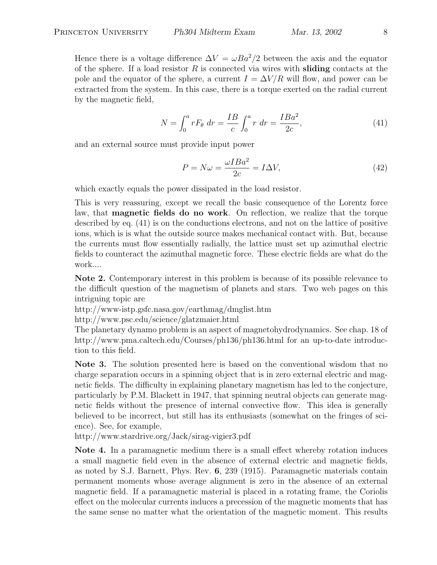Hence there is a voltage difference  $\Delta V = \omega Ba^2/2$  between the axis and the equator of the sphere. If a load resistor  $R$  is connected via wires with **sliding** contacts at the pole and the equator of the sphere, a current  $I = \Delta V/R$  will flow, and power can be extracted from the system. In this case, there is a torque exerted on the radial current by the magnetic field,

$$
N = \int_0^a r F_\theta \, dr = \frac{IB}{c} \int_0^a r \, dr = \frac{IBa^2}{2c},\tag{41}
$$

and an external source must provide input power

$$
P = N\omega = \frac{\omega I Ba^2}{2c} = I\Delta V,\tag{42}
$$

which exactly equals the power dissipated in the load resistor.

This is very reassuring, except we recall the basic consequence of the Lorentz force law, that magnetic fields do no work. On reflection, we realize that the torque described by eq. (41) is on the conductions electrons, and not on the lattice of positive ions, which is is what the outside source makes mechanical contact with. But, because the currents must flow essentially radially, the lattice must set up azimuthal electric fields to counteract the azimuthal magnetic force. These electric fields are what do the work....

Note 2. Contemporary interest in this problem is because of its possible relevance to the difficult question of the magnetism of planets and stars. Two web pages on this intriguing topic are

http://www-istp.gsfc.nasa.gov/earthmag/dmglist.htm

http://www.psc.edu/science/glatzmaier.html

The planetary dynamo problem is an aspect of magnetohydrodynamics. See chap. 18 of http://www.pma.caltech.edu/Courses/ph136/ph136.html for an up-to-date introduction to this field.

Note 3. The solution presented here is based on the conventional wisdom that no charge separation occurs in a spinning object that is in zero external electric and magnetic fields. The difficulty in explaining planetary magnetism has led to the conjecture, particularly by P.M. Blackett in 1947, that spinning neutral objects can generate magnetic fields without the presence of internal convective flow. This idea is generally believed to be incorrect, but still has its enthusiasts (somewhat on the fringes of science). See, for example,

http://www.stardrive.org/Jack/sirag-vigier3.pdf

Note 4. In a paramagnetic medium there is a small effect whereby rotation induces a small magnetic field even in the absence of external electric and magnetic fields, as noted by S.J. Barnett, Phys. Rev. 6, 239 (1915). Paramagnetic materials contain permanent moments whose average alignment is zero in the absence of an external magnetic field. If a paramagnetic material is placed in a rotating frame, the Coriolis effect on the molecular currents induces a precession of the magnetic moments that has the same sense no matter what the orientation of the magnetic moment. This results